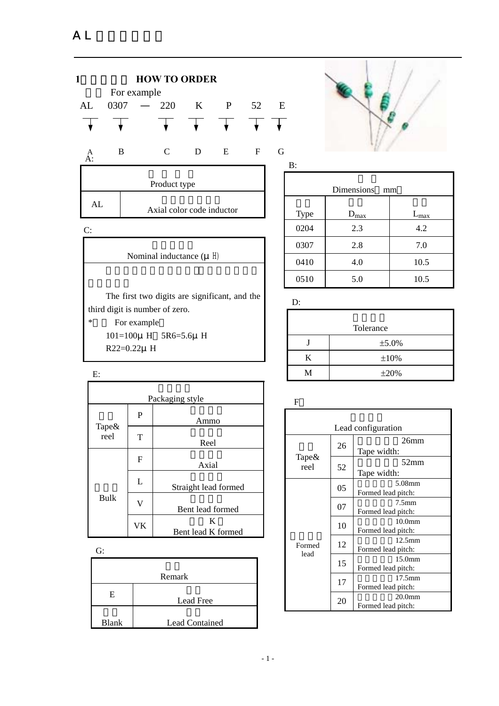



|              | Dimensions              | mm                   |
|--------------|-------------------------|----------------------|
|              |                         |                      |
| Type<br>0204 | $D_{\text{max}}$<br>2.3 | $L_{\rm max}$<br>4.2 |
| 0307         | 2.8                     | 7.0                  |
| 0410         | 4.0                     | 10.5                 |
|              |                         |                      |
| 0510         | 5.0                     | 10.5                 |

| Tolerance |            |  |  |  |  |
|-----------|------------|--|--|--|--|
|           | ±5.0%      |  |  |  |  |
| K         | $\pm 10\%$ |  |  |  |  |
| M         | $\pm 20%$  |  |  |  |  |

| Packaging style   |                         |                         |  |  |  |
|-------------------|-------------------------|-------------------------|--|--|--|
| Tape $\&$<br>reel | P                       | Ammo                    |  |  |  |
|                   | T                       | Reel                    |  |  |  |
|                   | F                       | Axial                   |  |  |  |
|                   | L                       | Straight lead formed    |  |  |  |
| Bulk              | $\overline{\mathsf{V}}$ | Bent lead formed        |  |  |  |
|                   | VK                      | K<br>Bent lead K formed |  |  |  |

 $\overline{C}$ 

E:

| U.           |                       |
|--------------|-----------------------|
|              |                       |
|              | Remark                |
| Ε            | Lead Free             |
| <b>Blank</b> | <b>Lead Contained</b> |

F

| Lead configuration |    |                                          |  |  |  |  |
|--------------------|----|------------------------------------------|--|--|--|--|
|                    | 26 | 26 <sub>mm</sub><br>Tape width:          |  |  |  |  |
| Tape&<br>reel      | 52 | 52mm<br>Tape width:                      |  |  |  |  |
|                    | 05 | 5.08mm<br>Formed lead pitch:             |  |  |  |  |
|                    | 07 | 7.5 <sub>mm</sub><br>Formed lead pitch:  |  |  |  |  |
|                    | 10 | $10.0$ mm<br>Formed lead pitch:          |  |  |  |  |
| Formed<br>lead     | 12 | $12.5$ mm<br>Formed lead pitch:          |  |  |  |  |
|                    | 15 | 15.0 <sub>mm</sub><br>Formed lead pitch: |  |  |  |  |
|                    | 17 | $17.5 \text{mm}$<br>Formed lead pitch:   |  |  |  |  |
|                    | 20 | 20.0 <sub>mm</sub><br>Formed lead pitch: |  |  |  |  |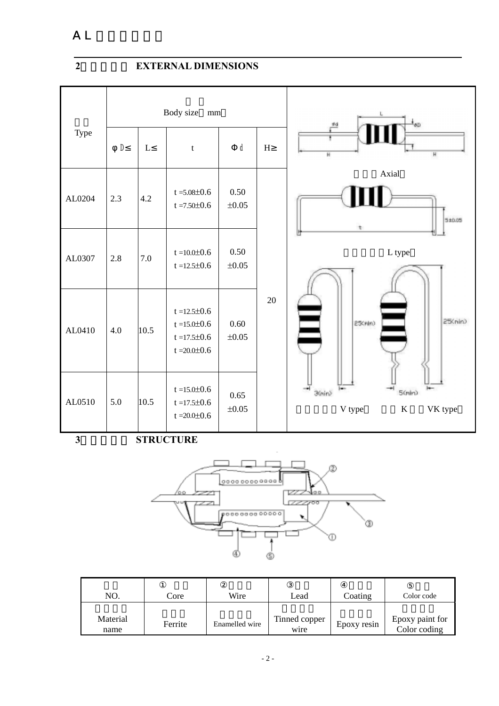# **2**、外形尺寸 **EXTERNAL DIMENSIONS**

|        | Body size<br>$\rm mm$ |      |                                                                                      |                    |             | ₫d<br>øD                                           |
|--------|-----------------------|------|--------------------------------------------------------------------------------------|--------------------|-------------|----------------------------------------------------|
| Type   | D                     | L    | $\mathbf t$                                                                          | $\sf d$            | $\mathbf H$ | $\overline{H}$<br>H                                |
| AL0204 | 2.3                   | 4.2  | $t = 5.08 \pm 0.6$<br>$t = 7.50 \pm 0.6$                                             | 0.50<br>$\pm 0.05$ |             | Axial<br>5±0.05<br>۰                               |
| AL0307 | 2.8                   | 7.0  | $t = 10.0 \pm 0.6$<br>$t = 12.5 \pm 0.6$                                             | 0.50<br>$\pm 0.05$ |             | L type                                             |
| AL0410 | 4.0                   | 10.5 | $t = 12.5 \pm 0.6$<br>$t = 15.0 \pm 0.6$<br>$t = 17.5 \pm 0.6$<br>$t = 20.0 \pm 0.6$ | 0.60<br>$\pm 0.05$ | 20          | 25(nin)<br>25(rin)                                 |
| AL0510 | 5.0                   | 10.5 | $t = 15.0 \pm 0.6$<br>$t = 17.5 \pm 0.6$<br>$t = 20.0 \pm 0.6$                       | 0.65<br>$\pm 0.05$ |             | 30in)<br>$5$ (mlm)<br>V type<br>$\bf K$<br>VK type |

**3**、产品结构 **STRUCTURE** 



| NO.              | Core    | Wire           | ∟ead                  | Coating     | Color code                      |
|------------------|---------|----------------|-----------------------|-------------|---------------------------------|
| Material<br>name | Ferrite | Enamelled wire | Tinned copper<br>wire | Epoxy resin | Epoxy paint for<br>Color coding |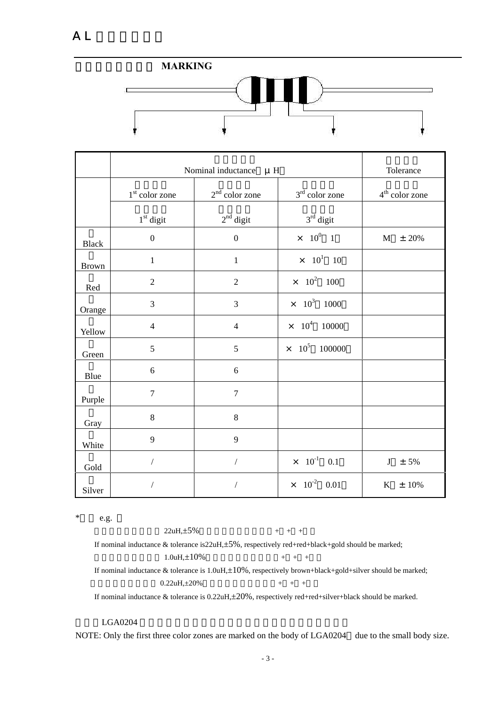

|              | Nominal inductance | Tolerance            |                                       |                       |
|--------------|--------------------|----------------------|---------------------------------------|-----------------------|
|              | $1st$ color zone   | $2nd$ color zone     | $3rd$ color zone                      | $4th$ color zone      |
|              | $1st$ digit        | $2nd$ digit          | $3rd$ digit                           |                       |
| <b>Black</b> | $\boldsymbol{0}$   | $\mathbf{0}$         | $\times$ $10^0$ $1$                   | $\mathbf{M}$<br>± 20% |
| <b>Brown</b> | $\mathbf{1}$       | $\mathbf{1}$         | $\times$ 10 <sup>1</sup> 10           |                       |
| Red          | $\overline{2}$     | $\overline{2}$       | $\times$ 10 <sup>2</sup> 100          |                       |
| Orange       | 3                  | 3                    | $\times$ 10 <sup>3</sup> 1000         |                       |
| Yellow       | $\overline{4}$     | $\overline{4}$       | $10^4$<br>10000<br>$\times$           |                       |
| Green        | 5                  | 5                    | 10 <sup>5</sup><br>100000<br>$\times$ |                       |
| Blue         | 6                  | 6                    |                                       |                       |
| Purple       | $\overline{7}$     | $\overline{7}$       |                                       |                       |
| Gray         | $\,8\,$            | $\,8\,$              |                                       |                       |
| White        | 9                  | 9                    |                                       |                       |
| Gold         | $\sqrt{2}$         | $\sqrt{2}$           | $\times$ 10 <sup>-1</sup> 0.1         | J<br>$± 5\%$          |
| Silver       | $\overline{ }$     | $\sqrt{\phantom{a}}$ | $10^{-2}$ 0.01<br>$\times$            | $±10\%$<br>$\bf K$    |

 $*$  e.g.

 $22uH, \pm 5\%$  + + + If nominal inductance & tolerance is22uH,±5%, respectively red+red+black+gold should be marked;  $1.0uH, \pm 10\%$  + + + If nominal inductance & tolerance is 1.0uH,±10%, respectively brown+black+gold+silver should be marked;  $0.22uH \pm 20\%$  + + +

If nominal inductance & tolerance is 0.22uH,±20%, respectively red+red+silver+black should be marked.

#### LGA0204

NOTE: Only the first three color zones are marked on the body of LGA0204 due to the small body size.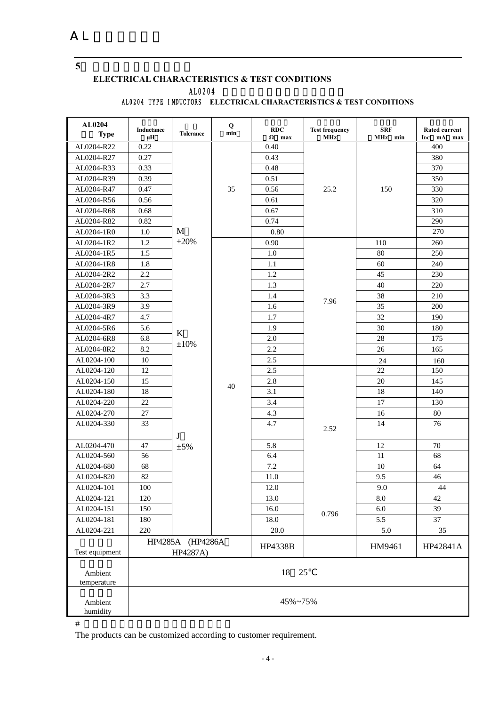**5**、 电性能参数及测试条件

#### **ELECTRICAL CHARACTERISTICS & TEST CONDITIONS** AL0204 AL0204 TYPE INDUCTORS **ELECTRICAL CHARACTERISTICS & TEST CONDITIONS**

| AL0204<br><b>Type</b>  | Inductance<br>μH | <b>Tolerance</b>             | Q<br>min | RDC<br>$\Omega$ max | <b>Test frequency</b><br><b>MHz</b> | <b>SRF</b><br>MHz min | <b>Rated current</b><br>IDC mA<br>max |
|------------------------|------------------|------------------------------|----------|---------------------|-------------------------------------|-----------------------|---------------------------------------|
| AL0204-R22             | 0.22             |                              |          | 0.40                |                                     |                       | 400                                   |
| AL0204-R27             | 0.27             |                              |          | 0.43                |                                     |                       | 380                                   |
| AL0204-R33             | 0.33             |                              |          | 0.48                |                                     |                       | 370                                   |
| AL0204-R39             | 0.39             |                              |          | 0.51                |                                     |                       | 350                                   |
| AL0204-R47             | 0.47             |                              | 35       | 0.56                | 25.2                                | 150                   | 330                                   |
| AL0204-R56             | 0.56             |                              |          | 0.61                |                                     |                       | 320                                   |
| AL0204-R68             | 0.68             |                              |          | 0.67                |                                     |                       | 310                                   |
| AL0204-R82             | 0.82             |                              |          | 0.74                |                                     |                       | 290                                   |
| AL0204-1R0             | $1.0\,$          | M                            |          | 0.80                |                                     |                       | 270                                   |
| AL0204-1R2             | 1.2              | $\pm 20\%$                   |          | 0.90                |                                     | 110                   | 260                                   |
| AL0204-1R5             | 1.5              |                              |          | 1.0                 |                                     | 80                    | 250                                   |
| AL0204-1R8             | 1.8              |                              |          | 1.1                 |                                     | 60                    | 240                                   |
| AL0204-2R2             | 2.2              |                              |          | 1.2                 |                                     | 45                    | 230                                   |
| AL0204-2R7             | 2.7              |                              |          | 1.3                 |                                     | 40                    | 220                                   |
| AL0204-3R3             | 3.3              |                              |          | 1.4                 |                                     | 38                    | 210                                   |
| AL0204-3R9             | 3.9              |                              |          | 1.6                 | 7.96                                | 35                    | 200                                   |
| AL0204-4R7             | 4.7              |                              |          | 1.7                 |                                     | 32                    | 190                                   |
| AL0204-5R6             | 5.6              |                              |          | 1.9                 |                                     | 30                    | 180                                   |
| AL0204-6R8             | 6.8              | $\bf K$                      |          | 2.0                 |                                     | 28                    | 175                                   |
| AL0204-8R2             | 8.2              | $\pm 10\%$                   |          | 2.2                 |                                     | 26                    | 165                                   |
| AL0204-100             | 10               |                              |          | 2.5                 |                                     | 24                    | 160                                   |
| AL0204-120             | 12               |                              |          | 2.5                 |                                     | 22                    | 150                                   |
| AL0204-150             | 15               |                              |          | 2.8                 |                                     | 20                    | 145                                   |
| AL0204-180             | 18               |                              | 40       | 3.1                 |                                     | 18                    | 140                                   |
| AL0204-220             | 22               |                              |          | 3.4                 |                                     | 17                    | 130                                   |
| AL0204-270             | 27               |                              |          | 4.3                 |                                     | 16                    | 80                                    |
| AL0204-330             | 33               |                              |          | 4.7                 |                                     | 14                    | 76                                    |
|                        |                  | J                            |          |                     | 2.52                                |                       |                                       |
| AL0204-470             | 47               | $\pm 5\%$                    |          | 5.8                 |                                     | 12                    | 70                                    |
| AL0204-560             | 56               |                              |          | 6.4                 |                                     | 11                    | 68                                    |
| AL0204-680             | 68               |                              |          | 7.2                 |                                     | 10                    | 64                                    |
| AL0204-820             | 82               |                              |          | 11.0                |                                     | 9.5                   | 46                                    |
| AL0204-101             | 100              |                              |          | 12.0                |                                     | 9.0                   | 44                                    |
| AL0204-121             | 120              |                              |          | 13.0                |                                     | 8.0                   | 42                                    |
| AL0204-151             | 150              |                              |          | 16.0                |                                     | $6.0\,$               | 39                                    |
| AL0204-181             | 180              |                              |          | 18.0                | 0.796                               | 5.5                   | 37                                    |
| AL0204-221             | 220              |                              |          | 20.0                |                                     | 5.0                   | 35                                    |
| Test equipment         |                  | HP4285A (HP4286A<br>HP4287A) |          | HP4338B             |                                     | HM9461                | HP42841A                              |
| Ambient<br>temperature | 18<br>25         |                              |          |                     |                                     |                       |                                       |
| Ambient<br>humidity    | 45%~75%          |                              |          |                     |                                     |                       |                                       |

 $\#$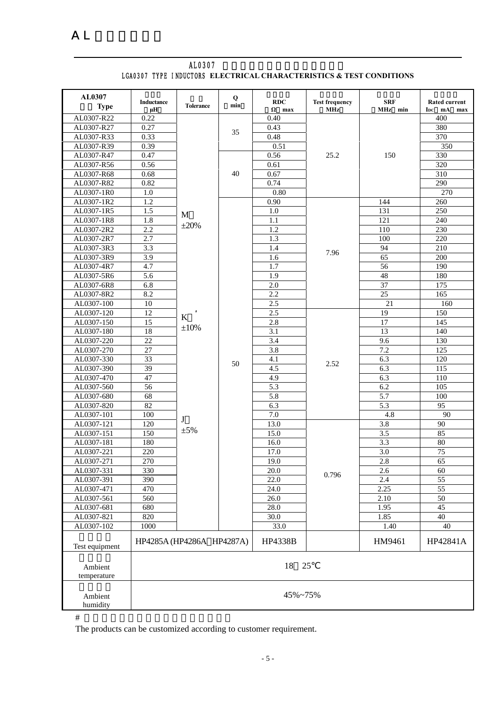| AL0307<br><b>Type</b>    | <b>Inductance</b> | <b>Tolerance</b>          | Q<br>min | <b>RDC</b>        | <b>Test frequency</b> | <b>SRF</b>       | <b>Rated current</b>   |
|--------------------------|-------------------|---------------------------|----------|-------------------|-----------------------|------------------|------------------------|
|                          | μH                |                           |          | $\Omega$ max      | <b>MHz</b>            | MHz min          | I <sub>DC</sub> mA max |
| AL0307-R22               | 0.22              |                           |          | 0.40              |                       |                  | 400                    |
| AL0307-R27               | 0.27              |                           | 35       | 0.43              |                       |                  | 380                    |
| AL0307-R33               | 0.33              |                           |          | 0.48              |                       |                  | 370                    |
| AL0307-R39               | 0.39              |                           |          | 0.51              |                       |                  | 350                    |
| AL0307-R47               | 0.47              |                           |          | 0.56              | 25.2                  | 150              | 330                    |
| AL0307-R56               | 0.56              |                           | 40       | 0.61              |                       |                  | 320                    |
| AL0307-R68               | 0.68<br>0.82      |                           |          | 0.67<br>0.74      |                       |                  | 310<br>290             |
| AL0307-R82               | $1.0\,$           |                           |          | 0.80              |                       |                  | 270                    |
| AL0307-1R0<br>AL0307-1R2 | 1.2               |                           |          | 0.90              |                       | 144              | 260                    |
| AL0307-1R5               | 1.5               |                           |          | 1.0               |                       | 131              | 250                    |
| AL0307-1R8               | 1.8               | M                         |          | 1.1               |                       | 121              | 240                    |
| AL0307-2R2               | 2.2               | $\pm 20\%$                |          | 1.2               |                       | 110              | 230                    |
| AL0307-2R7               | 2.7               |                           |          | 1.3               |                       | 100              | 220                    |
| AL0307-3R3               | 3.3               |                           |          | 1.4               |                       | 94               | 210                    |
| AL0307-3R9               | 3.9               |                           |          | 1.6               | 7.96                  | 65               | 200                    |
| AL0307-4R7               | 4.7               |                           |          | 1.7               |                       | 56               | 190                    |
| AL0307-5R6               | 5.6               |                           |          | 1.9               |                       | 48               | 180                    |
| AL0307-6R8               | 6.8               |                           |          | 2.0               |                       | 37               | 175                    |
| AL0307-8R2               | 8.2               |                           |          | 2.2               |                       | 25               | 165                    |
| AL0307-100               | $\overline{10}$   |                           |          | 2.5               |                       | 21               | 160                    |
| AL0307-120               | 12                |                           |          | 2.5               |                       | 19               | 150                    |
| AL0307-150               | 15                | $\mathbf K$               |          | 2.8               |                       | 17               | 145                    |
| AL0307-180               | 18                | $\pm 10\%$                |          | 3.1               | 2.52                  | 13               | 140                    |
| AL0307-220               | 22                |                           |          | 3.4               |                       | 9.6              | 130                    |
| AL0307-270               | 27                |                           |          | 3.8               |                       | 7.2              | 125                    |
| AL0307-330               | 33                |                           |          | 4.1               |                       | 6.3              | 120                    |
| AL0307-390               | 39                |                           | 50       | 4.5               |                       | 6.3              | 115                    |
| AL0307-470               | 47                |                           |          | 4.9               |                       | 6.3              | 110                    |
| AL0307-560               | 56                |                           |          | 5.3               |                       | 6.2              | 105                    |
| AL0307-680               | 68                |                           |          | 5.8               |                       | 5.7              | 100                    |
| AL0307-820               | 82                |                           |          | 6.3               |                       | 5.3              | 95                     |
| AL0307-101               | 100               | J                         |          | 7.0               |                       | 4.8              | 90                     |
| AL0307-121               | 120               |                           |          | 13.0              |                       | 3.8              | 90                     |
| AL0307-151               | 150               | $\pm 5\%$                 |          | 15.0              |                       | 3.5              | 85                     |
| AL0307-181               | 180               |                           |          | 16.0              |                       | $\overline{3.3}$ | 80                     |
| AL0307-221               | 220               |                           |          | 17.0              |                       | 3.0              | 75                     |
| AL0307-271               | 270               |                           |          | 19.0              |                       | 2.8              | 65                     |
| AL0307-331               | 330               |                           |          | 20.0              | 0.796                 | 2.6              | 60                     |
| AL0307-391               | 390               |                           |          | $\overline{22.0}$ |                       | 2.4              | $\overline{55}$        |
| AL0307-471               | 470               |                           |          | 24.0              |                       | 2.25             | $\overline{55}$        |
| AL0307-561               | 560               |                           |          | 26.0              |                       | 2.10             | 50                     |
| AL0307-681               | 680               |                           |          | 28.0              |                       | 1.95             | 45                     |
| AL0307-821               | 820               |                           |          | 30.0              |                       | 1.85             | 40                     |
| AL0307-102               | 1000              |                           |          | 33.0              |                       | 1.40             | 40                     |
| Test equipment           |                   | HP4285A (HP4286A HP4287A) |          | HP4338B           |                       | HM9461           | HP42841A               |
| Ambient<br>temperature   | 18<br>25          |                           |          |                   |                       |                  |                        |
| Ambient<br>humidity      | 45%~75%           |                           |          |                   |                       |                  |                        |

|  | AL0307 |                                                                     |
|--|--------|---------------------------------------------------------------------|
|  |        | LGA0307 TYPE INDUCTORS ELECTRICAL CHARACTERISTICS & TEST CONDITIONS |

 $\#$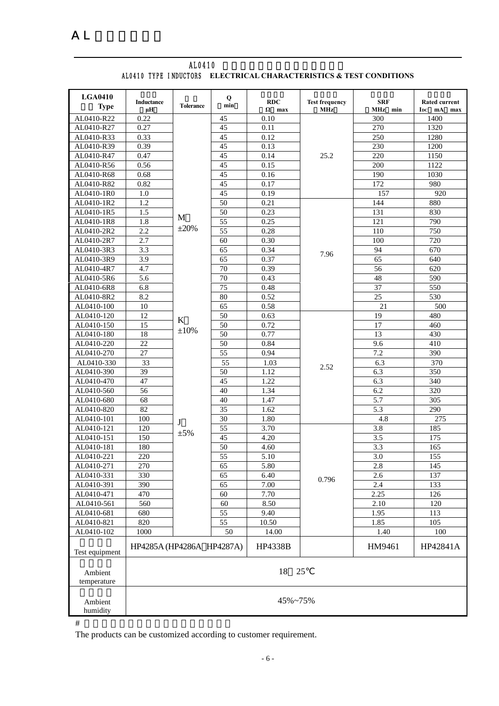| <b>LGA0410</b><br><b>Type</b> | Inductance<br>μH          | <b>Tolerance</b> | Q<br>min        | <b>RDC</b><br>$\Omega$ max | <b>Test frequency</b><br><b>MHz</b> | <b>SRF</b><br>MHz min   | Rated current<br>$I_{DC}$ mA<br>max |  |
|-------------------------------|---------------------------|------------------|-----------------|----------------------------|-------------------------------------|-------------------------|-------------------------------------|--|
| AL0410-R22                    | 0.22                      |                  | 45              | 0.10                       |                                     | 300                     | 1400                                |  |
| AL0410-R27                    | 0.27                      |                  | 45              | 0.11                       |                                     | 270                     | 1320                                |  |
| AL0410-R33                    | 0.33                      |                  | 45              | 0.12                       |                                     | 250                     | 1280                                |  |
| AL0410-R39                    | 0.39                      |                  | 45              | 0.13                       |                                     | 230                     | 1200                                |  |
| AL0410-R47                    | 0.47                      |                  | 45              | 0.14                       | 25.2                                | 220                     | 1150                                |  |
| AL0410-R56                    | 0.56                      |                  | 45              | 0.15                       |                                     | 200                     | 1122                                |  |
| AL0410-R68                    | 0.68                      |                  | 45              | 0.16                       |                                     | 190                     | 1030                                |  |
| AL0410-R82                    | 0.82                      |                  | 45              | 0.17                       |                                     | 172                     | 980                                 |  |
| AL0410-1R0                    | 1.0                       |                  | 45              | 0.19                       |                                     | 157                     | 920                                 |  |
| AL0410-1R2                    | 1.2                       |                  | 50              | 0.21                       |                                     | 144                     | 880                                 |  |
| AL0410-1R5                    | 1.5                       |                  | 50              | 0.23                       |                                     | 131                     | 830                                 |  |
| AL0410-1R8                    | 1.8                       | M                | 55              | 0.25                       |                                     | 121                     | 790                                 |  |
| AL0410-2R2                    | 2.2                       | $\pm 20\%$       | $\overline{55}$ | 0.28                       |                                     | 110                     | 750                                 |  |
| AL0410-2R7                    | 2.7                       |                  | 60              | 0.30                       |                                     | 100                     | 720                                 |  |
| AL0410-3R3                    | 3.3                       |                  | 65              | 0.34                       |                                     | 94                      | 670                                 |  |
| AL0410-3R9                    | 3.9                       |                  | 65              | 0.37                       | 7.96                                | 65                      | 640                                 |  |
| AL0410-4R7                    | 4.7                       |                  | 70              | 0.39                       |                                     | 56                      | 620                                 |  |
| AL0410-5R6                    | 5.6                       |                  | $\overline{70}$ | 0.43                       |                                     | 48                      | 590                                 |  |
| AL0410-6R8                    | 6.8                       |                  | $\overline{75}$ | 0.48                       |                                     | 37                      | 550                                 |  |
| AL0410-8R2                    | 8.2                       |                  | 80              | 0.52                       |                                     | $\overline{25}$         | 530                                 |  |
| AL0410-100                    | 10                        |                  | 65              | 0.58                       |                                     | 21                      | 500                                 |  |
| AL0410-120                    | 12                        |                  | 50              | 0.63                       |                                     | 19                      | 480                                 |  |
| AL0410-150                    | 15                        | K                | $\overline{50}$ | 0.72                       |                                     | 17                      | 460                                 |  |
| AL0410-180                    | 18                        | $\pm 10\%$       | 50              | 0.77                       |                                     | 13                      | 430                                 |  |
| AL0410-220                    | 22                        |                  | 50              | 0.84                       | 2.52                                | 9.6                     | 410                                 |  |
| AL0410-270                    | 27                        |                  | $\overline{55}$ | 0.94                       |                                     | 7.2                     | 390                                 |  |
|                               |                           |                  |                 |                            |                                     |                         |                                     |  |
| AL0410-330<br>AL0410-390      | 33<br>39                  |                  | 55<br>50        | 1.03<br>1.12               |                                     | 6.3<br>6.3              | 370<br>350                          |  |
| AL0410-470                    | 47                        |                  | 45              | 1.22                       |                                     | 6.3                     | 340                                 |  |
| AL0410-560                    | 56                        |                  | $\overline{40}$ | 1.34                       |                                     | 6.2                     | 320                                 |  |
| AL0410-680                    | 68                        |                  | 40              | 1.47                       |                                     | 5.7                     | 305                                 |  |
| AL0410-820                    | 82                        |                  | $\overline{35}$ | 1.62                       |                                     | 5.3                     | 290                                 |  |
| AL0410-101                    | 100                       |                  | 30              | 1.80                       |                                     | 4.8                     | 275                                 |  |
| AL0410-121                    | 120                       | J                | $\overline{55}$ | 3.70                       |                                     | 3.8                     | 185                                 |  |
| AL0410-151                    | 150                       | $\pm 5\%$        | 45              | 4.20                       |                                     | 3.5                     | 175                                 |  |
|                               |                           |                  | 50              |                            |                                     |                         |                                     |  |
| AL0410-181<br>AL0410-221      | 180<br>220                |                  | 55              | 4.60<br>5.10               |                                     | 3.3<br>$\overline{3.0}$ | 165<br>155                          |  |
| AL0410-271                    | 270                       |                  | 65              | 5.80                       |                                     | 2.8                     | 145                                 |  |
| AL0410-331                    | 330                       |                  | 65              | 6.40                       |                                     | 2.6                     | 137                                 |  |
|                               | 390                       |                  |                 | 7.00                       | 0.796                               | 2.4                     |                                     |  |
| AL0410-391                    |                           |                  | 65              |                            |                                     |                         | 133                                 |  |
| AL0410-471                    | 470                       |                  | 60              | 7.70                       |                                     | 2.25                    | 126                                 |  |
| AL0410-561                    | 560                       |                  | 60              | 8.50                       |                                     | 2.10                    | 120                                 |  |
| AL0410-681                    | 680                       |                  | 55              | 9.40                       |                                     | 1.95                    | 113                                 |  |
| AL0410-821                    | 820                       |                  | 55              | 10.50                      |                                     | 1.85                    | 105                                 |  |
| AL0410-102                    | 1000                      |                  | 50              | 14.00                      |                                     | 1.40                    | 100                                 |  |
| Test equipment                | HP4285A (HP4286A HP4287A) |                  |                 | HP4338B                    |                                     | HM9461                  | HP42841A                            |  |
| Ambient<br>temperature        | 18<br>25                  |                  |                 |                            |                                     |                         |                                     |  |
| Ambient<br>humidity           |                           | 45%~75%          |                 |                            |                                     |                         |                                     |  |

#### AL0410 **Department** AL0410 TYPE INDUCTORS **ELECTRICAL CHARACTERISTICS & TEST CONDITIONS**

 $\#$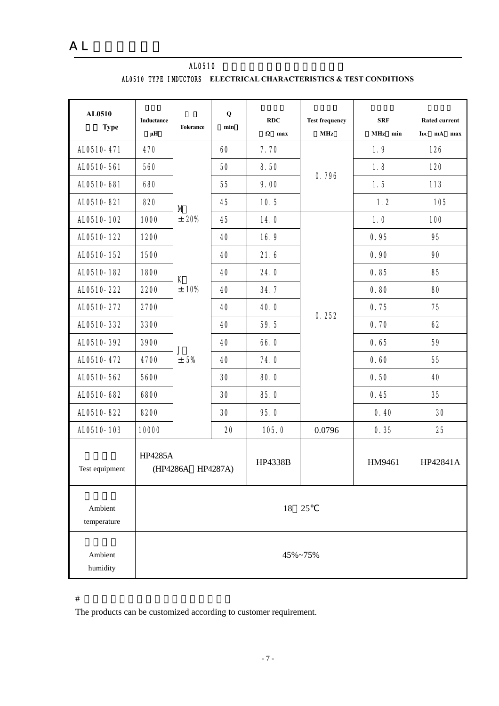| AL0510<br><b>Type</b>  | Inductance<br>$\mu$ H               | <b>Tolerance</b> | $\bf Q$<br>min | RDC<br>$\Omega$ max | <b>Test frequency</b><br>MHz | <b>SRF</b><br>MHz min | <b>Rated current</b><br>IDC mA max |
|------------------------|-------------------------------------|------------------|----------------|---------------------|------------------------------|-----------------------|------------------------------------|
| AL0510-471             | 470                                 |                  | 60             | 7.70                |                              | 1.9                   | 126                                |
| AL0510-561             | 560                                 |                  | 50             | 8.50                |                              | 1.8                   | 120                                |
| AL0510-681             | 680                                 |                  | 55             | 9.00                | 0.796                        | 1.5                   | 113                                |
| AL0510-821             | 820                                 | M                | 45             | 10.5                |                              | 1.2                   | 105                                |
| AL0510-102             | 1000                                | $\pm$ 20%        | 45             | 14.0                |                              | 1.0                   | 100                                |
| AL0510-122             | 1200                                |                  | 40             | 16.9                |                              | 0.95                  | 95                                 |
| AL0510-152             | 1500                                |                  | 40             | 21.6                |                              | 0.90                  | 90                                 |
| AL0510-182             | 1800                                | К<br>± 10%       | 40             | 24.0                |                              | 0.85                  | 85                                 |
| AL0510-222             | 2200                                |                  | 40             | 34.7                | 0.252                        | 0.80                  | 80                                 |
| AL0510-272             | 2700                                |                  | 40             | 40.0                |                              | 0.75                  | 75                                 |
| AL0510-332             | 3300                                |                  | 40             | 59.5                |                              | 0.70                  | 62                                 |
| AL0510-392             | 3900                                | J                | 40             | 66.0                |                              | 0.65                  | 59                                 |
| AL0510-472             | 4700                                | ± 5%             | 40             | 74.0                |                              | 0.60                  | 55                                 |
| AL0510-562             | 5600                                |                  | 30             | 80.0                |                              | 0.50                  | 40                                 |
| AL0510-682             | 6800                                |                  | 30             | 85.0                |                              | 0.45                  | 35                                 |
| AL0510-822             | 8200                                |                  | 30             | 95.0                |                              | 0.40                  | 30                                 |
| AL0510-103             | 10000                               |                  | 20             | 105.0               | 0.0796                       | 0.35                  | 25                                 |
| Test equipment         | <b>HP4285A</b><br>(HP4286A HP4287A) |                  | HP4338B        |                     | HM9461                       | HP42841A              |                                    |
| Ambient<br>temperature | 18<br>25                            |                  |                |                     |                              |                       |                                    |
| Ambient<br>humidity    | 45%~75%                             |                  |                |                     |                              |                       |                                    |

AL0510 AL0510 TYPE INDUCTORS **ELECTRICAL CHARACTERISTICS & TEST CONDITIONS** 

 $\#$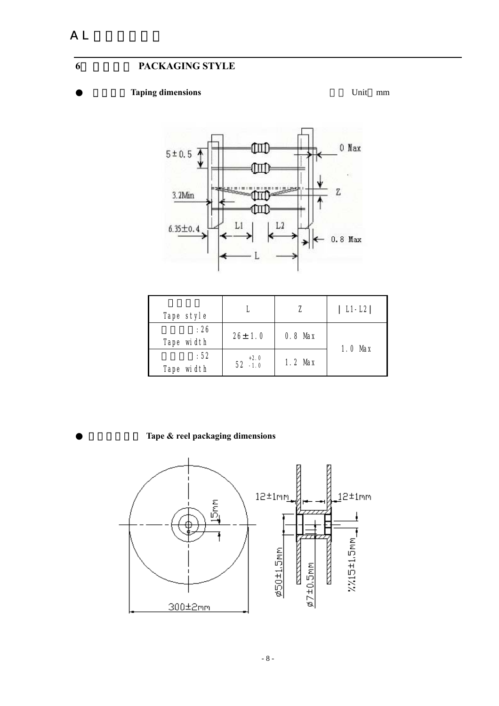### **Taping dimensions Unit mm**



| Tape style         |                      |           | $L1-L2$   |
|--------------------|----------------------|-----------|-----------|
| : 26<br>Tape width | $26 \pm 1.0$         | $0.8$ Max | $1.0$ Max |
| :52<br>Tape width  | $+2.0$<br>$52 - 1.0$ | $1.2$ Max |           |

Tape & reel packaging dimensions